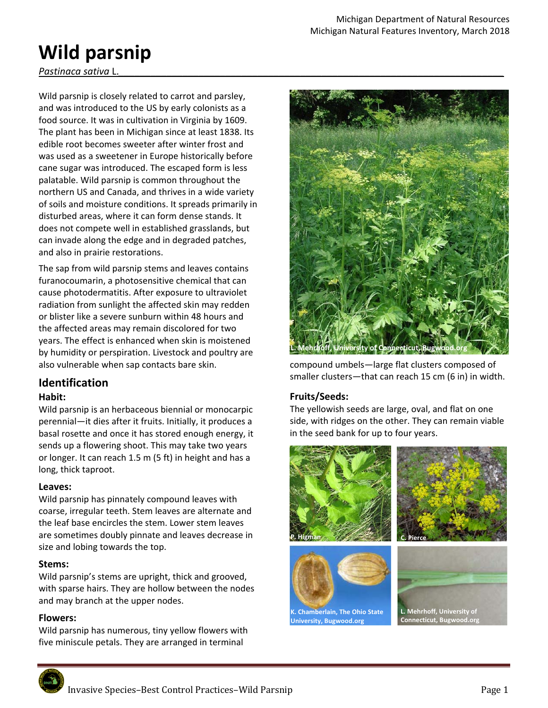# **Wild parsnip**

*Pastinaca sativa* L.*\_\_\_\_\_\_\_\_\_\_\_\_\_\_\_\_\_\_\_\_\_\_\_\_\_\_\_\_\_\_\_\_\_\_\_\_\_\_\_\_\_\_\_\_\_\_\_\_\_\_\_\_\_\_\_\_\_\_\_\_\_\_\_\_\_\_\_\_\_\_\_\_* 

Wild parsnip is closely related to carrot and parsley, and was introduced to the US by early colonists as a food source. It was in cultivation in Virginia by 1609. The plant has been in Michigan since at least 1838. Its edible root becomes sweeter after winter frost and was used as a sweetener in Europe historically before cane sugar was introduced. The escaped form is less palatable. Wild parsnip is common throughout the northern US and Canada, and thrives in a wide variety of soils and moisture conditions. It spreads primarily in disturbed areas, where it can form dense stands. It does not compete well in established grasslands, but can invade along the edge and in degraded patches, and also in prairie restorations.

The sap from wild parsnip stems and leaves contains furanocoumarin, a photosensitive chemical that can cause photodermatitis. After exposure to ultraviolet radiation from sunlight the affected skin may redden or blister like a severe sunburn within 48 hours and the affected areas may remain discolored for two years. The effect is enhanced when skin is moistened by humidity or perspiration. Livestock and poultry are also vulnerable when sap contacts bare skin.

# **Identification**

## **Habit:**

Wild parsnip is an herbaceous biennial or monocarpic perennial—it dies after it fruits. Initially, it produces a basal rosette and once it has stored enough energy, it sends up a flowering shoot. This may take two years or longer. It can reach 1.5 m (5 ft) in height and has a long, thick taproot.

## **Leaves:**

Wild parsnip has pinnately compound leaves with coarse, irregular teeth. Stem leaves are alternate and the leaf base encircles the stem. Lower stem leaves are sometimes doubly pinnate and leaves decrease in size and lobing towards the top.

## **Stems:**

Wild parsnip's stems are upright, thick and grooved, with sparse hairs. They are hollow between the nodes and may branch at the upper nodes.

# **Flowers:**

Wild parsnip has numerous, tiny yellow flowers with five miniscule petals. They are arranged in terminal



compound umbels—large flat clusters composed of smaller clusters—that can reach 15 cm (6 in) in width.

# **Fruits/Seeds:**

The yellowish seeds are large, oval, and flat on one side, with ridges on the other. They can remain viable in the seed bank for up to four years.

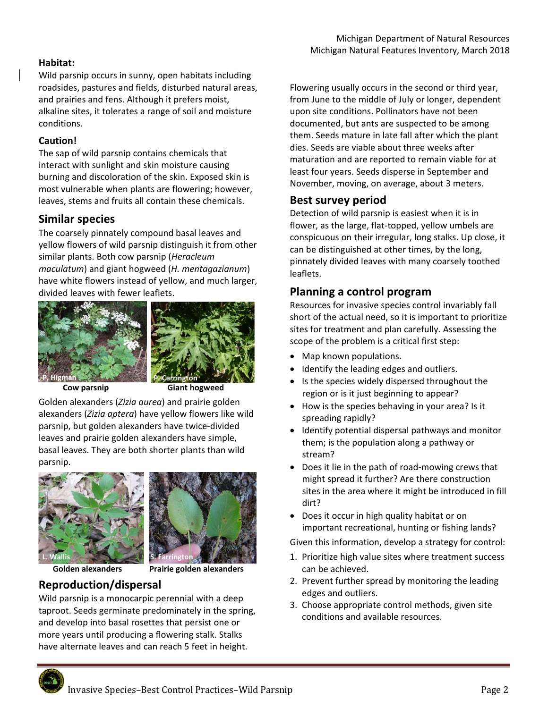## **Habitat:**

Wild parsnip occurs in sunny, open habitats including roadsides, pastures and fields, disturbed natural areas, and prairies and fens. Although it prefers moist, alkaline sites, it tolerates a range of soil and moisture conditions.

## **Caution!**

The sap of wild parsnip contains chemicals that interact with sunlight and skin moisture causing burning and discoloration of the skin. Exposed skin is most vulnerable when plants are flowering; however, leaves, stems and fruits all contain these chemicals.

# **Similar species**

The coarsely pinnately compound basal leaves and yellow flowers of wild parsnip distinguish it from other similar plants. Both cow parsnip (*Heracleum maculatum*) and giant hogweed (*H. mentagazianum*) have white flowers instead of yellow, and much larger, divided leaves with fewer leaflets.





 **Cow parsnip Giant hogweed** 

Golden alexanders (*Zizia aurea*) and prairie golden alexanders (*Zizia aptera*) have yellow flowers like wild parsnip, but golden alexanders have twice‐divided leaves and prairie golden alexanders have simple, basal leaves. They are both shorter plants than wild parsnip.





 **Golden alexanders Prairie golden alexanders** 

# **Reproduction/dispersal**

Wild parsnip is a monocarpic perennial with a deep taproot. Seeds germinate predominately in the spring, and develop into basal rosettes that persist one or more years until producing a flowering stalk. Stalks have alternate leaves and can reach 5 feet in height.

Flowering usually occurs in the second or third year, from June to the middle of July or longer, dependent upon site conditions. Pollinators have not been documented, but ants are suspected to be among them. Seeds mature in late fall after which the plant dies. Seeds are viable about three weeks after maturation and are reported to remain viable for at least four years. Seeds disperse in September and November, moving, on average, about 3 meters.

# **Best survey period**

Detection of wild parsnip is easiest when it is in flower, as the large, flat‐topped, yellow umbels are conspicuous on their irregular, long stalks. Up close, it can be distinguished at other times, by the long, pinnately divided leaves with many coarsely toothed leaflets.

# **Planning a control program**

Resources for invasive species control invariably fall short of the actual need, so it is important to prioritize sites for treatment and plan carefully. Assessing the scope of the problem is a critical first step:

- Map known populations.
- Identify the leading edges and outliers.
- Is the species widely dispersed throughout the region or is it just beginning to appear?
- How is the species behaving in your area? Is it spreading rapidly?
- Identify potential dispersal pathways and monitor them; is the population along a pathway or stream?
- Does it lie in the path of road-mowing crews that might spread it further? Are there construction sites in the area where it might be introduced in fill dirt?
- Does it occur in high quality habitat or on important recreational, hunting or fishing lands?

Given this information, develop a strategy for control:

- 1. Prioritize high value sites where treatment success can be achieved.
- 2. Prevent further spread by monitoring the leading edges and outliers.
- 3. Choose appropriate control methods, given site conditions and available resources.

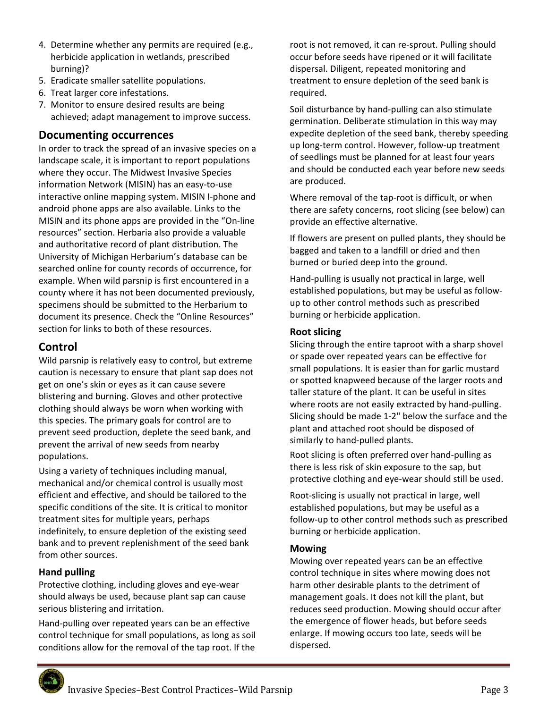- 4. Determine whether any permits are required (e.g., herbicide application in wetlands, prescribed burning)?
- 5. Eradicate smaller satellite populations.
- 6. Treat larger core infestations.
- 7. Monitor to ensure desired results are being achieved; adapt management to improve success.

# **Documenting occurrences**

In order to track the spread of an invasive species on a landscape scale, it is important to report populations where they occur. The Midwest Invasive Species information Network (MISIN) has an easy‐to‐use interactive online mapping system. MISIN I‐phone and android phone apps are also available. Links to the MISIN and its phone apps are provided in the "On‐line resources" section. Herbaria also provide a valuable and authoritative record of plant distribution. The University of Michigan Herbarium's database can be searched online for county records of occurrence, for example. When wild parsnip is first encountered in a county where it has not been documented previously, specimens should be submitted to the Herbarium to document its presence. Check the "Online Resources" section for links to both of these resources.

# **Control**

Wild parsnip is relatively easy to control, but extreme caution is necessary to ensure that plant sap does not get on one's skin or eyes as it can cause severe blistering and burning. Gloves and other protective clothing should always be worn when working with this species. The primary goals for control are to prevent seed production, deplete the seed bank, and prevent the arrival of new seeds from nearby populations.

Using a variety of techniques including manual, mechanical and/or chemical control is usually most efficient and effective, and should be tailored to the specific conditions of the site. It is critical to monitor treatment sites for multiple years, perhaps indefinitely, to ensure depletion of the existing seed bank and to prevent replenishment of the seed bank from other sources.

# **Hand pulling**

Protective clothing, including gloves and eye‐wear should always be used, because plant sap can cause serious blistering and irritation.

Hand‐pulling over repeated years can be an effective control technique for small populations, as long as soil conditions allow for the removal of the tap root. If the

root is not removed, it can re‐sprout. Pulling should occur before seeds have ripened or it will facilitate dispersal. Diligent, repeated monitoring and treatment to ensure depletion of the seed bank is required.

Soil disturbance by hand‐pulling can also stimulate germination. Deliberate stimulation in this way may expedite depletion of the seed bank, thereby speeding up long‐term control. However, follow‐up treatment of seedlings must be planned for at least four years and should be conducted each year before new seeds are produced.

Where removal of the tap‐root is difficult, or when there are safety concerns, root slicing (see below) can provide an effective alternative.

If flowers are present on pulled plants, they should be bagged and taken to a landfill or dried and then burned or buried deep into the ground.

Hand‐pulling is usually not practical in large, well established populations, but may be useful as follow‐ up to other control methods such as prescribed burning or herbicide application.

## **Root slicing**

Slicing through the entire taproot with a sharp shovel or spade over repeated years can be effective for small populations. It is easier than for garlic mustard or spotted knapweed because of the larger roots and taller stature of the plant. It can be useful in sites where roots are not easily extracted by hand-pulling. Slicing should be made 1‐2" below the surface and the plant and attached root should be disposed of similarly to hand‐pulled plants.

Root slicing is often preferred over hand‐pulling as there is less risk of skin exposure to the sap, but protective clothing and eye‐wear should still be used.

Root‐slicing is usually not practical in large, well established populations, but may be useful as a follow‐up to other control methods such as prescribed burning or herbicide application.

## **Mowing**

Mowing over repeated years can be an effective control technique in sites where mowing does not harm other desirable plants to the detriment of management goals. It does not kill the plant, but reduces seed production. Mowing should occur after the emergence of flower heads, but before seeds enlarge. If mowing occurs too late, seeds will be dispersed.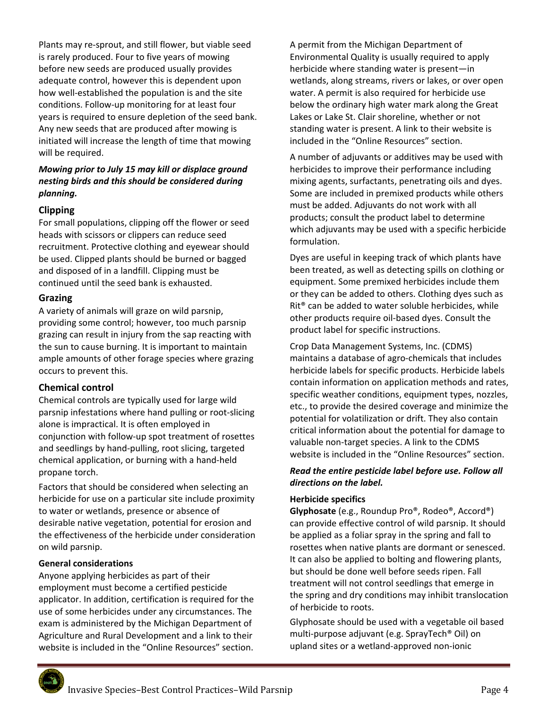Plants may re‐sprout, and still flower, but viable seed is rarely produced. Four to five years of mowing before new seeds are produced usually provides adequate control, however this is dependent upon how well‐established the population is and the site conditions. Follow‐up monitoring for at least four years is required to ensure depletion of the seed bank. Any new seeds that are produced after mowing is initiated will increase the length of time that mowing will be required.

## *Mowing prior to July 15 may kill or displace ground nesting birds and this should be considered during planning.*

## **Clipping**

For small populations, clipping off the flower or seed heads with scissors or clippers can reduce seed recruitment. Protective clothing and eyewear should be used. Clipped plants should be burned or bagged and disposed of in a landfill. Clipping must be continued until the seed bank is exhausted.

#### **Grazing**

A variety of animals will graze on wild parsnip, providing some control; however, too much parsnip grazing can result in injury from the sap reacting with the sun to cause burning. It is important to maintain ample amounts of other forage species where grazing occurs to prevent this.

## **Chemical control**

Chemical controls are typically used for large wild parsnip infestations where hand pulling or root‐slicing alone is impractical. It is often employed in conjunction with follow‐up spot treatment of rosettes and seedlings by hand‐pulling, root slicing, targeted chemical application, or burning with a hand‐held propane torch.

Factors that should be considered when selecting an herbicide for use on a particular site include proximity to water or wetlands, presence or absence of desirable native vegetation, potential for erosion and the effectiveness of the herbicide under consideration on wild parsnip.

## **General considerations**

Anyone applying herbicides as part of their employment must become a certified pesticide applicator. In addition, certification is required for the use of some herbicides under any circumstances. The exam is administered by the Michigan Department of Agriculture and Rural Development and a link to their website is included in the "Online Resources" section.

A permit from the Michigan Department of Environmental Quality is usually required to apply herbicide where standing water is present—in wetlands, along streams, rivers or lakes, or over open water. A permit is also required for herbicide use below the ordinary high water mark along the Great Lakes or Lake St. Clair shoreline, whether or not standing water is present. A link to their website is included in the "Online Resources" section.

A number of adjuvants or additives may be used with herbicides to improve their performance including mixing agents, surfactants, penetrating oils and dyes. Some are included in premixed products while others must be added. Adjuvants do not work with all products; consult the product label to determine which adjuvants may be used with a specific herbicide formulation.

Dyes are useful in keeping track of which plants have been treated, as well as detecting spills on clothing or equipment. Some premixed herbicides include them or they can be added to others. Clothing dyes such as Rit® can be added to water soluble herbicides, while other products require oil‐based dyes. Consult the product label for specific instructions.

Crop Data Management Systems, Inc. (CDMS) maintains a database of agro‐chemicals that includes herbicide labels for specific products. Herbicide labels contain information on application methods and rates, specific weather conditions, equipment types, nozzles, etc., to provide the desired coverage and minimize the potential for volatilization or drift. They also contain critical information about the potential for damage to valuable non-target species. A link to the CDMS website is included in the "Online Resources" section.

#### *Read the entire pesticide label before use. Follow all directions on the label.*

## **Herbicide specifics**

**Glyphosate** (e.g., Roundup Pro®, Rodeo®, Accord®) can provide effective control of wild parsnip. It should be applied as a foliar spray in the spring and fall to rosettes when native plants are dormant or senesced. It can also be applied to bolting and flowering plants, but should be done well before seeds ripen. Fall treatment will not control seedlings that emerge in the spring and dry conditions may inhibit translocation of herbicide to roots.

Glyphosate should be used with a vegetable oil based multi‐purpose adjuvant (e.g. SprayTech® Oil) on upland sites or a wetland‐approved non‐ionic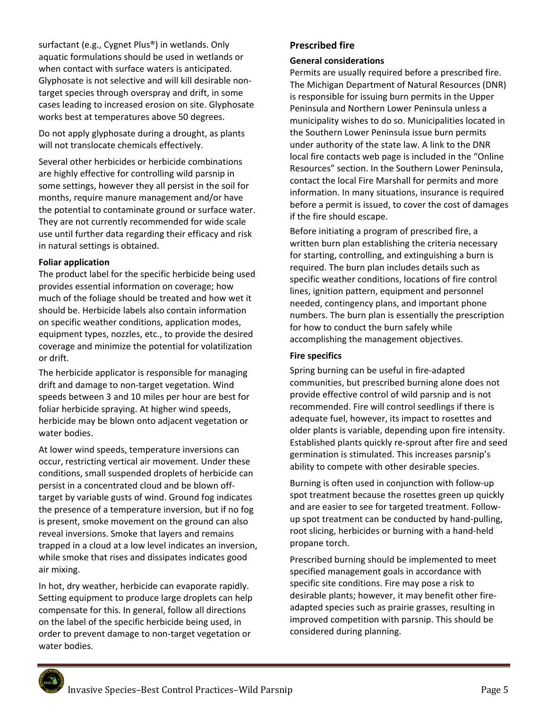surfactant (e.g., Cygnet Plus®) in wetlands. Only aquatic formulations should be used in wetlands or when contact with surface waters is anticipated. Glyphosate is not selective and will kill desirable non‐ target species through overspray and drift, in some cases leading to increased erosion on site. Glyphosate works best at temperatures above 50 degrees.

Do not apply glyphosate during a drought, as plants will not translocate chemicals effectively.

Several other herbicides or herbicide combinations are highly effective for controlling wild parsnip in some settings, however they all persist in the soil for months, require manure management and/or have the potential to contaminate ground or surface water. They are not currently recommended for wide scale use until further data regarding their efficacy and risk in natural settings is obtained.

#### **Foliar application**

The product label for the specific herbicide being used provides essential information on coverage; how much of the foliage should be treated and how wet it should be. Herbicide labels also contain information on specific weather conditions, application modes, equipment types, nozzles, etc., to provide the desired coverage and minimize the potential for volatilization or drift.

The herbicide applicator is responsible for managing drift and damage to non‐target vegetation. Wind speeds between 3 and 10 miles per hour are best for foliar herbicide spraying. At higher wind speeds, herbicide may be blown onto adjacent vegetation or water bodies.

At lower wind speeds, temperature inversions can occur, restricting vertical air movement. Under these conditions, small suspended droplets of herbicide can persist in a concentrated cloud and be blown off‐ target by variable gusts of wind. Ground fog indicates the presence of a temperature inversion, but if no fog is present, smoke movement on the ground can also reveal inversions. Smoke that layers and remains trapped in a cloud at a low level indicates an inversion, while smoke that rises and dissipates indicates good air mixing.

In hot, dry weather, herbicide can evaporate rapidly. Setting equipment to produce large droplets can help compensate for this. In general, follow all directions on the label of the specific herbicide being used, in order to prevent damage to non‐target vegetation or water bodies.

#### **Prescribed fire**

#### **General considerations**

Permits are usually required before a prescribed fire. The Michigan Department of Natural Resources (DNR) is responsible for issuing burn permits in the Upper Peninsula and Northern Lower Peninsula unless a municipality wishes to do so. Municipalities located in the Southern Lower Peninsula issue burn permits under authority of the state law. A link to the DNR local fire contacts web page is included in the "Online Resources" section. In the Southern Lower Peninsula, contact the local Fire Marshall for permits and more information. In many situations, insurance is required before a permit is issued, to cover the cost of damages if the fire should escape.

Before initiating a program of prescribed fire, a written burn plan establishing the criteria necessary for starting, controlling, and extinguishing a burn is required. The burn plan includes details such as specific weather conditions, locations of fire control lines, ignition pattern, equipment and personnel needed, contingency plans, and important phone numbers. The burn plan is essentially the prescription for how to conduct the burn safely while accomplishing the management objectives.

#### **Fire specifics**

Spring burning can be useful in fire‐adapted communities, but prescribed burning alone does not provide effective control of wild parsnip and is not recommended. Fire will control seedlings if there is adequate fuel, however, its impact to rosettes and older plants is variable, depending upon fire intensity. Established plants quickly re‐sprout after fire and seed germination is stimulated. This increases parsnip's ability to compete with other desirable species.

Burning is often used in conjunction with follow‐up spot treatment because the rosettes green up quickly and are easier to see for targeted treatment. Follow‐ up spot treatment can be conducted by hand‐pulling, root slicing, herbicides or burning with a hand‐held propane torch.

Prescribed burning should be implemented to meet specified management goals in accordance with specific site conditions. Fire may pose a risk to desirable plants; however, it may benefit other fire‐ adapted species such as prairie grasses, resulting in improved competition with parsnip. This should be considered during planning.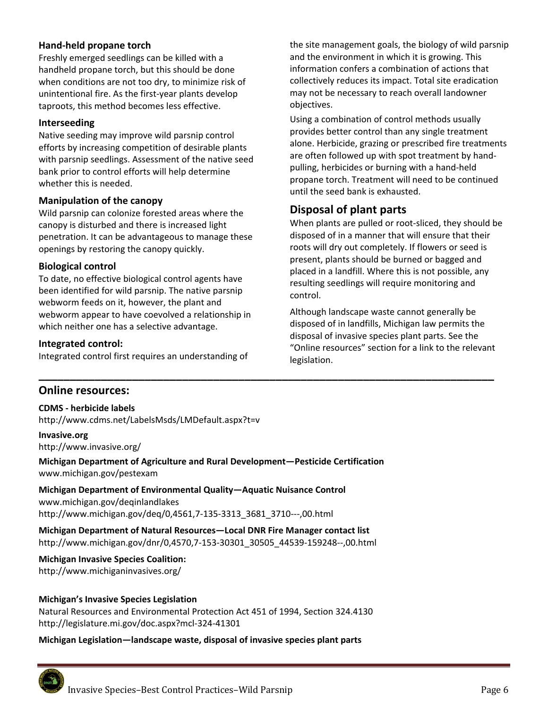#### **Hand‐held propane torch**

Freshly emerged seedlings can be killed with a handheld propane torch, but this should be done when conditions are not too dry, to minimize risk of unintentional fire. As the first‐year plants develop taproots, this method becomes less effective.

#### **Interseeding**

Native seeding may improve wild parsnip control efforts by increasing competition of desirable plants with parsnip seedlings. Assessment of the native seed bank prior to control efforts will help determine whether this is needed.

#### **Manipulation of the canopy**

Wild parsnip can colonize forested areas where the canopy is disturbed and there is increased light penetration. It can be advantageous to manage these openings by restoring the canopy quickly.

#### **Biological control**

To date, no effective biological control agents have been identified for wild parsnip. The native parsnip webworm feeds on it, however, the plant and webworm appear to have coevolved a relationship in which neither one has a selective advantage.

#### **Integrated control:**

Integrated control first requires an understanding of

the site management goals, the biology of wild parsnip and the environment in which it is growing. This information confers a combination of actions that collectively reduces its impact. Total site eradication may not be necessary to reach overall landowner objectives.

Using a combination of control methods usually provides better control than any single treatment alone. Herbicide, grazing or prescribed fire treatments are often followed up with spot treatment by hand‐ pulling, herbicides or burning with a hand‐held propane torch. Treatment will need to be continued until the seed bank is exhausted.

# **Disposal of plant parts**

When plants are pulled or root‐sliced, they should be disposed of in a manner that will ensure that their roots will dry out completely. If flowers or seed is present, plants should be burned or bagged and placed in a landfill. Where this is not possible, any resulting seedlings will require monitoring and control.

Although landscape waste cannot generally be disposed of in landfills, Michigan law permits the disposal of invasive species plant parts. See the "Online resources" section for a link to the relevant legislation.

## **Online resources:**

**CDMS ‐ herbicide labels**  http://www.cdms.net/LabelsMsds/LMDefault.aspx?t=v

**Invasive.org**  http://www.invasive.org/

**Michigan Department of Agriculture and Rural Development—Pesticide Certification**  www.michigan.gov/pestexam

**\_\_\_\_\_\_\_\_\_\_\_\_\_\_\_\_\_\_\_\_\_\_\_\_\_\_\_\_\_\_\_\_\_\_\_\_\_\_\_\_\_\_\_\_\_\_\_\_\_\_\_\_\_\_\_\_\_\_\_\_\_\_\_\_\_\_\_\_\_\_\_\_\_** 

**Michigan Department of Environmental Quality—Aquatic Nuisance Control**  www.michigan.gov/deqinlandlakes http://www.michigan.gov/deq/0,4561,7‐135‐3313\_3681\_3710‐‐‐,00.html

**Michigan Department of Natural Resources—Local DNR Fire Manager contact list**  http://www.michigan.gov/dnr/0,4570,7‐153‐30301\_30505\_44539‐159248‐‐,00.html

**Michigan Invasive Species Coalition:**  http://www.michiganinvasives.org/

#### **Michigan's Invasive Species Legislation**

Natural Resources and Environmental Protection Act 451 of 1994, Section 324.4130 http://legislature.mi.gov/doc.aspx?mcl‐324‐41301

#### **Michigan Legislation—landscape waste, disposal of invasive species plant parts**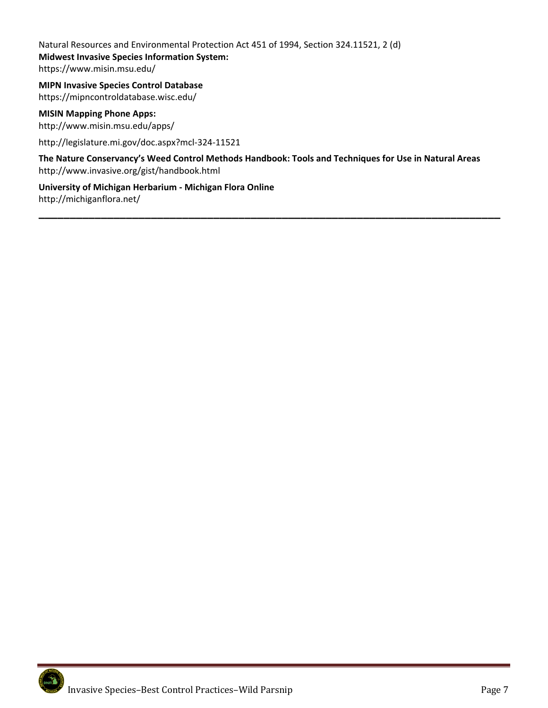Natural Resources and Environmental Protection Act 451 of 1994, Section 324.11521, 2 (d) **Midwest Invasive Species Information System:**  https://www.misin.msu.edu/

**MIPN Invasive Species Control Database**  https://mipncontroldatabase.wisc.edu/

**MISIN Mapping Phone Apps:** http://www.misin.msu.edu/apps/

http://legislature.mi.gov/doc.aspx?mcl‐324‐11521

**The Nature Conservancy's Weed Control Methods Handbook: Tools and Techniques for Use in Natural Areas**  http://www.invasive.org/gist/handbook.html

**\_\_\_\_\_\_\_\_\_\_\_\_\_\_\_\_\_\_\_\_\_\_\_\_\_\_\_\_\_\_\_\_\_\_\_\_\_\_\_\_\_\_\_\_\_\_\_\_\_\_\_\_\_\_\_\_\_\_\_\_\_\_\_\_\_\_\_\_\_\_\_\_\_\_**

**University of Michigan Herbarium ‐ Michigan Flora Online**  http://michiganflora.net/